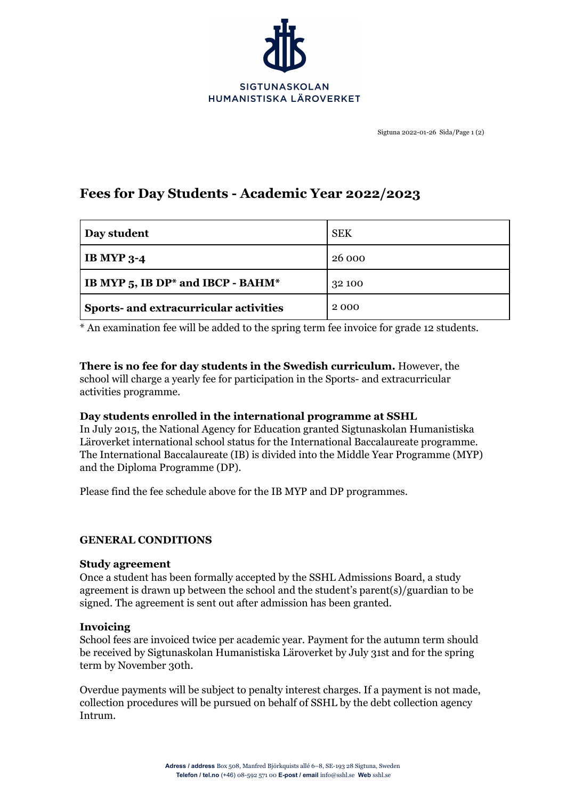

# **Fees for Day Students - Academic Year 2022/2023**

| Day student                            | <b>SEK</b> |
|----------------------------------------|------------|
| <b>IB MYP 3-4</b>                      | 26 000     |
| IB MYP 5, IB DP* and IBCP - BAHM*      | 32 100     |
| Sports- and extracurricular activities | 2000       |

\* An examination fee will be added to the spring term fee invoice for grade 12 students.

#### **There is no fee for day students in the Swedish curriculum.** However, the school will charge a yearly fee for participation in the Sports- and extracurricular activities programme.

## **Day students enrolled in the international programme at SSHL**

In July 2015, the National Agency for Education granted Sigtunaskolan Humanistiska Läroverket international school status for the International Baccalaureate programme. The International Baccalaureate (IB) is divided into the Middle Year Programme (MYP) and the Diploma Programme (DP).

Please find the fee schedule above for the IB MYP and DP programmes.

#### **GENERAL CONDITIONS**

#### **Study agreement**

Once a student has been formally accepted by the SSHL Admissions Board, a study agreement is drawn up between the school and the student's parent(s)/guardian to be signed. The agreement is sent out after admission has been granted.

#### **Invoicing**

School fees are invoiced twice per academic year. Payment for the autumn term should be received by Sigtunaskolan Humanistiska Läroverket by July 31st and for the spring term by November 30th.

Overdue payments will be subject to penalty interest charges. If a payment is not made, collection procedures will be pursued on behalf of SSHL by the debt collection agency Intrum.